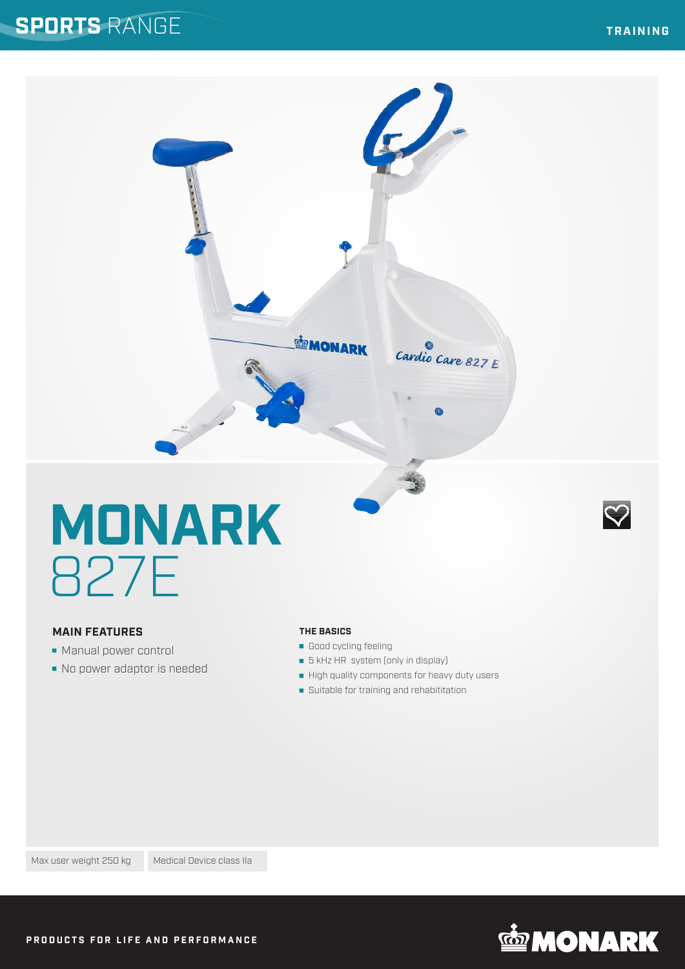### **SPORTS** RANGE

 $\heartsuit$ 



# **MONARK** 827E

#### **MAIN FEATURES**

- **Manual power control**
- No power adaptor is needed

#### **THE BASICS**

- Good cycling feeling
- **5** kHz HR system (only in display)
- High quality components for heavy duty users
- **Suitable for training and rehabititation**